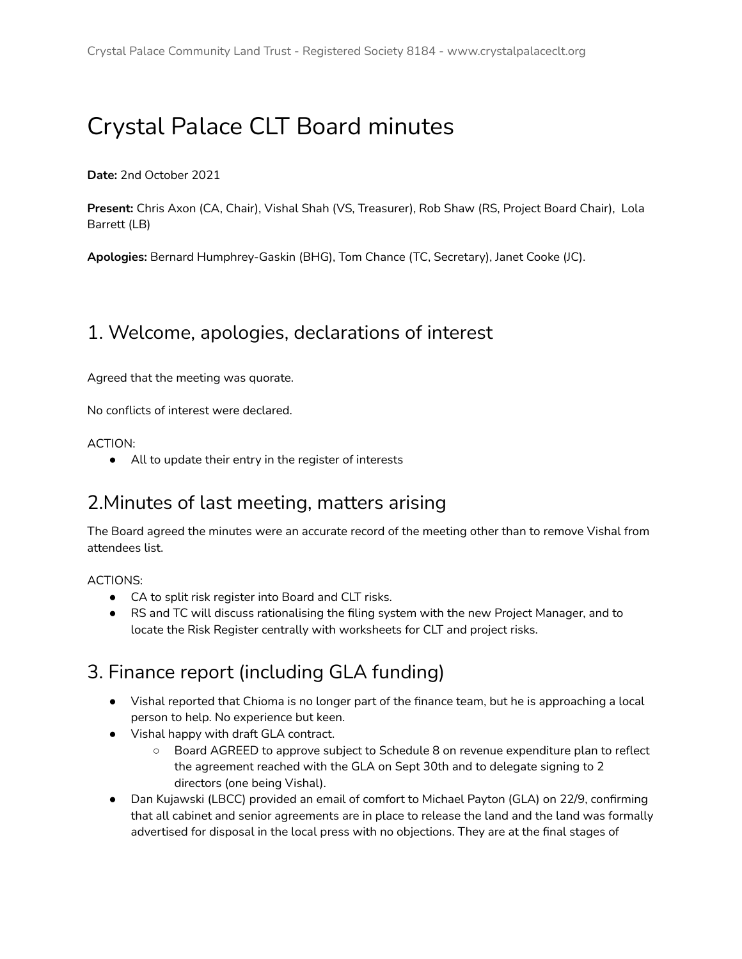# Crystal Palace CLT Board minutes

**Date:** 2nd October 2021

**Present:** Chris Axon (CA, Chair), Vishal Shah (VS, Treasurer), Rob Shaw (RS, Project Board Chair), Lola Barrett (LB)

**Apologies:** Bernard Humphrey-Gaskin (BHG), Tom Chance (TC, Secretary), Janet Cooke (JC).

#### 1. Welcome, apologies, declarations of interest

Agreed that the meeting was quorate.

No conflicts of interest were declared.

ACTION:

● All to update their entry in the register of interests

#### 2.Minutes of last meeting, matters arising

The Board agreed the minutes were an accurate record of the meeting other than to remove Vishal from attendees list.

ACTIONS:

- CA to split risk register into Board and CLT risks.
- RS and TC will discuss rationalising the filing system with the new Project Manager, and to locate the Risk Register centrally with worksheets for CLT and project risks.

#### 3. Finance report (including GLA funding)

- Vishal reported that Chioma is no longer part of the finance team, but he is approaching a local person to help. No experience but keen.
- Vishal happy with draft GLA contract.
	- Board AGREED to approve subject to Schedule 8 on revenue expenditure plan to reflect the agreement reached with the GLA on Sept 30th and to delegate signing to 2 directors (one being Vishal).
- Dan Kujawski (LBCC) provided an email of comfort to Michael Payton (GLA) on 22/9, confirming that all cabinet and senior agreements are in place to release the land and the land was formally advertised for disposal in the local press with no objections. They are at the final stages of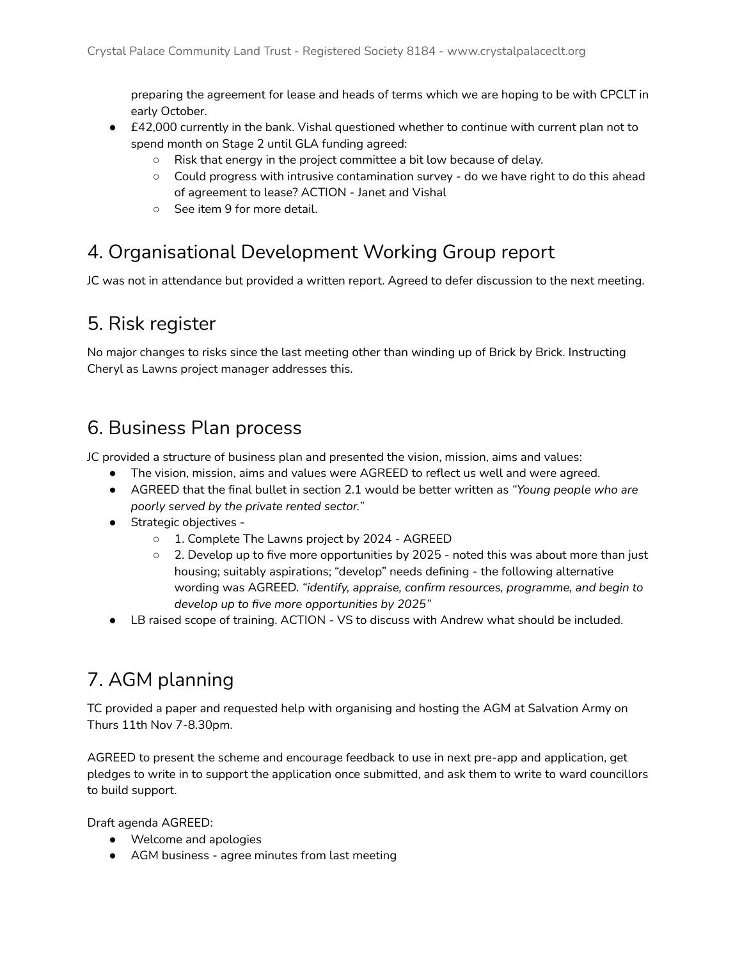preparing the agreement for lease and heads of terms which we are hoping to be with CPCLT in early October.

- £42,000 currently in the bank. Vishal questioned whether to continue with current plan not to spend month on Stage 2 until GLA funding agreed:
	- Risk that energy in the project committee a bit low because of delay.
	- Could progress with intrusive contamination survey do we have right to do this ahead of agreement to lease? ACTION - Janet and Vishal
	- See item 9 for more detail.

#### 4. Organisational Development Working Group report

JC was not in attendance but provided a written report. Agreed to defer discussion to the next meeting.

#### 5. Risk register

No major changes to risks since the last meeting other than winding up of Brick by Brick. Instructing Cheryl as Lawns project manager addresses this.

#### 6. Business Plan process

JC provided a structure of business plan and presented the vision, mission, aims and values:

- The vision, mission, aims and values were AGREED to reflect us well and were agreed.
- AGREED that the final bullet in section 2.1 would be better written as *"Young people who are poorly served by the private rented sector."*
- Strategic objectives
	- 1. Complete The Lawns project by 2024 AGREED
	- $\circ$  2. Develop up to five more opportunities by 2025 noted this was about more than just housing; suitably aspirations; "develop" needs defining - the following alternative wording was AGREED. *"identify, appraise, confirm resources, programme, and begin to develop up to five more opportunities by 2025"*
- LB raised scope of training. ACTION VS to discuss with Andrew what should be included.

# 7. AGM planning

TC provided a paper and requested help with organising and hosting the AGM at Salvation Army on Thurs 11th Nov 7-8.30pm.

AGREED to present the scheme and encourage feedback to use in next pre-app and application, get pledges to write in to support the application once submitted, and ask them to write to ward councillors to build support.

Draft agenda AGREED:

- Welcome and apologies
- AGM business agree minutes from last meeting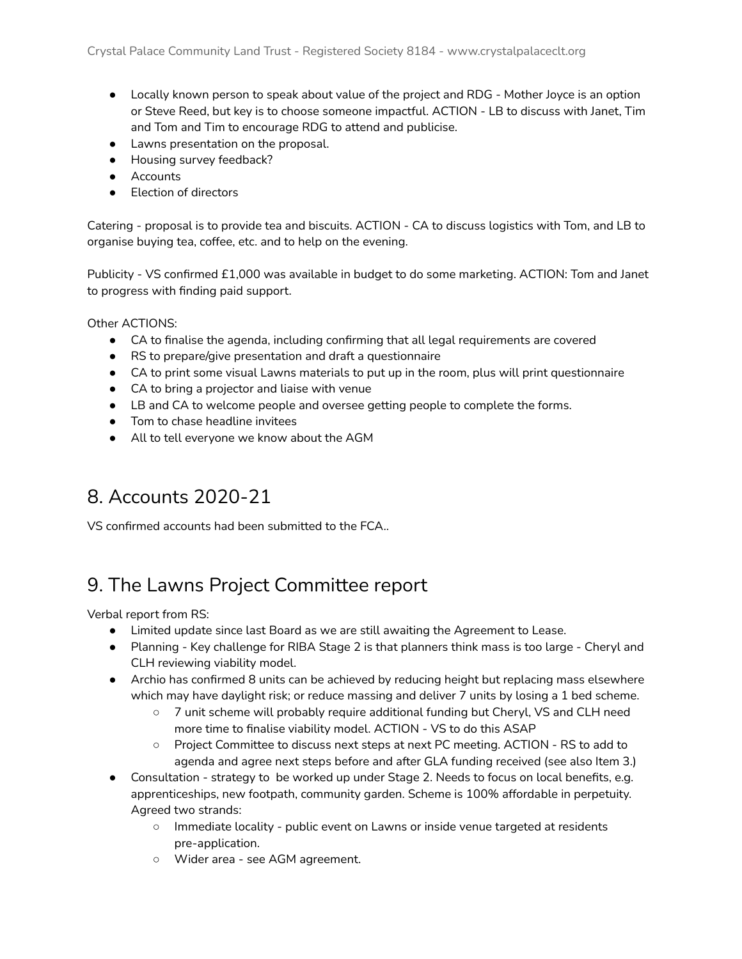- Locally known person to speak about value of the project and RDG Mother Joyce is an option or Steve Reed, but key is to choose someone impactful. ACTION - LB to discuss with Janet, Tim and Tom and Tim to encourage RDG to attend and publicise.
- Lawns presentation on the proposal.
- Housing survey feedback?
- Accounts
- **Election of directors**

Catering - proposal is to provide tea and biscuits. ACTION - CA to discuss logistics with Tom, and LB to organise buying tea, coffee, etc. and to help on the evening.

Publicity - VS confirmed £1,000 was available in budget to do some marketing. ACTION: Tom and Janet to progress with finding paid support.

Other ACTIONS:

- CA to finalise the agenda, including confirming that all legal requirements are covered
- RS to prepare/give presentation and draft a questionnaire
- CA to print some visual Lawns materials to put up in the room, plus will print questionnaire
- CA to bring a projector and liaise with venue
- LB and CA to welcome people and oversee getting people to complete the forms.
- Tom to chase headline invitees
- All to tell everyone we know about the AGM

## 8. Accounts 2020-21

VS confirmed accounts had been submitted to the FCA..

## 9. The Lawns Project Committee report

Verbal report from RS:

- Limited update since last Board as we are still awaiting the Agreement to Lease.
- Planning Key challenge for RIBA Stage 2 is that planners think mass is too large Cheryl and CLH reviewing viability model.
- Archio has confirmed 8 units can be achieved by reducing height but replacing mass elsewhere which may have daylight risk; or reduce massing and deliver 7 units by losing a 1 bed scheme.
	- 7 unit scheme will probably require additional funding but Cheryl, VS and CLH need more time to finalise viability model. ACTION - VS to do this ASAP
	- Project Committee to discuss next steps at next PC meeting. ACTION RS to add to agenda and agree next steps before and after GLA funding received (see also Item 3.)
- Consultation strategy to be worked up under Stage 2. Needs to focus on local benefits, e.g. apprenticeships, new footpath, community garden. Scheme is 100% affordable in perpetuity. Agreed two strands:
	- Immediate locality public event on Lawns or inside venue targeted at residents pre-application.
	- Wider area see AGM agreement.